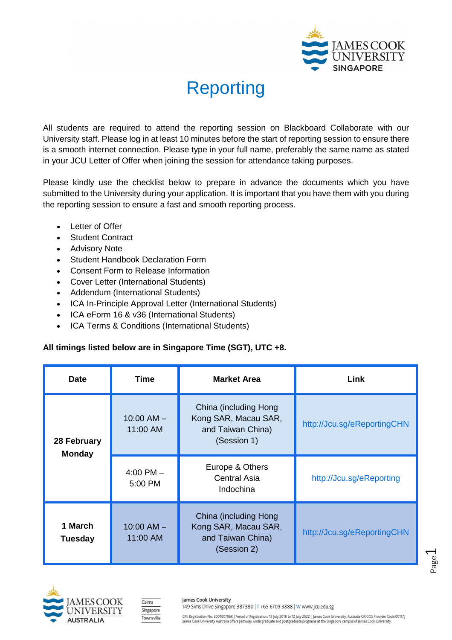

## Reporting

All students are required to attend the reporting session on Blackboard Collaborate with our University staff. Please log in at least 10 minutes before the start of reporting session to ensure there is a smooth internet connection. Please type in your full name, preferably the same name as stated in your JCU Letter of Offer when joining the session for attendance taking purposes.

Please kindly use the checklist below to prepare in advance the documents which you have submitted to the University during your application. It is important that you have them with you during the reporting session to ensure a fast and smooth reporting process.

- Letter of Offer
- Student Contract
- Advisory Note
- Student Handbook Declaration Form
- Consent Form to Release Information
- Cover Letter (International Students)
- Addendum (International Students)
- ICA In-Principle Approval Letter (International Students)
- ICA eForm 16 & v36 (International Students)
- ICA Terms & Conditions (International Students)

## **All timings listed below are in Singapore Time (SGT), UTC +8.**

| <b>Date</b>                  | Time                       | <b>Market Area</b>                                                                | Link                        |
|------------------------------|----------------------------|-----------------------------------------------------------------------------------|-----------------------------|
| 28 February<br><b>Monday</b> | $10:00$ AM $-$<br>11:00 AM | China (including Hong<br>Kong SAR, Macau SAR,<br>and Taiwan China)<br>(Session 1) | http://Jcu.sg/eReportingCHN |
|                              | $4:00$ PM $-$<br>5:00 PM   | Europe & Others<br><b>Central Asia</b><br>Indochina                               | http://Jcu.sg/eReporting    |
| 1 March<br><b>Tuesday</b>    | $10:00$ AM $-$<br>11:00 AM | China (including Hong<br>Kong SAR, Macau SAR,<br>and Taiwan China)<br>(Session 2) | http://Jcu.sg/eReportingCHN |





James Cook University  $\overline{\text{Cairns}}$ Singapore Townsville

149 Sims Drive Singapore 387380 | T +65 6709 3888 | W www.jcu.edu.sg

CPE Registration No. 200100786K | Period of Registration: 13 July 2018 to 12 July 2022 | James Cook University, Australia CRICOS Provider Code:00117]<br>James Cook University Australia offers pathway, undergraduate and postgr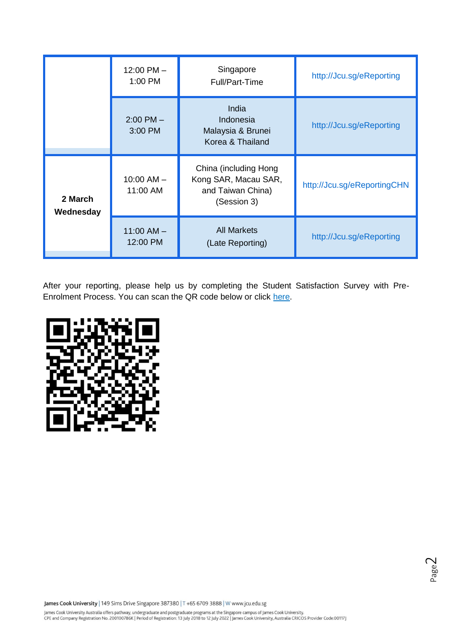|                      | $12:00$ PM $-$<br>1:00 PM  | Singapore<br>Full/Part-Time                                                       | http://Jcu.sg/eReporting    |
|----------------------|----------------------------|-----------------------------------------------------------------------------------|-----------------------------|
|                      | $2:00$ PM $-$<br>3:00 PM   | India<br>Indonesia<br>Malaysia & Brunei<br>Korea & Thailand                       | http://Jcu.sg/eReporting    |
| 2 March<br>Wednesday | $10:00$ AM $-$<br>11:00 AM | China (including Hong<br>Kong SAR, Macau SAR,<br>and Taiwan China)<br>(Session 3) | http://Jcu.sg/eReportingCHN |
|                      | $11:00$ AM $-$<br>12:00 PM | <b>All Markets</b><br>(Late Reporting)                                            | http://Jcu.sg/eReporting    |

After your reporting, please help us by completing the Student Satisfaction Survey with PreEnrolment Process. You can scan the QR code below or click [here.](http://jcu.sg/admsurvey)



James Cook University | 149 Sims Drive Singapore 387380 | T +65 6709 3888 | W www.jcu.edu.sg